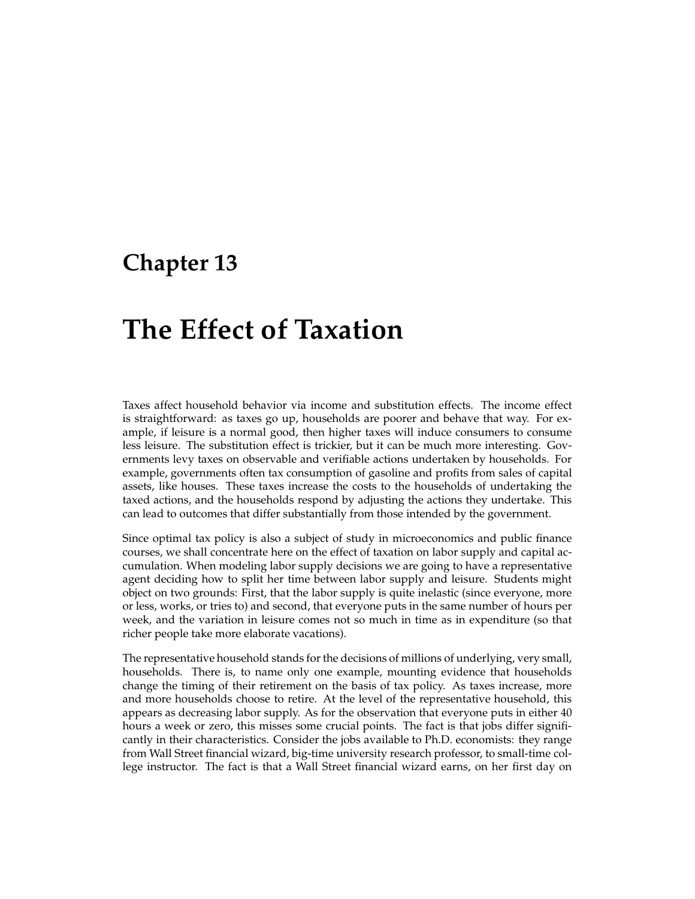## **Chapter 13**

# **The Effect of Taxation**

Taxes affect household behavior via income and substitution effects. The income effect is straightforward: as taxes go up, households are poorer and behave that way. For example, if leisure is a normal good, then higher taxes will induce consumers to consume less leisure. The substitution effect is trickier, but it can be much more interesting. Governments levy taxes on observable and verifiable actions undertaken by households. For example, governments often tax consumption of gasoline and profits from sales of capital assets, like houses. These taxes increase the costs to the households of undertaking the taxed actions, and the households respond by adjusting the actions they undertake. This can lead to outcomes that differ substantially from those intended by the government.

Since optimal tax policy is also a subject of study in microeconomics and public finance courses, we shall concentrate here on the effect of taxation on labor supply and capital accumulation. When modeling labor supply decisions we are going to have a representative agent deciding how to split her time between labor supply and leisure. Students might object on two grounds: First, that the labor supply is quite inelastic (since everyone, more or less, works, or tries to) and second, that everyone puts in the same number of hours per week, and the variation in leisure comes not so much in time as in expenditure (so that richer people take more elaborate vacations).

The representative household stands for the decisions of millions of underlying, very small, households. There is, to name only one example, mounting evidence that households change the timing of their retirement on the basis of tax policy. As taxes increase, more and more households choose to retire. At the level of the representative household, this appears as decreasing labor supply. As for the observation that everyone puts in either 40 hours a week or zero, this misses some crucial points. The fact is that jobs differ significantly in their characteristics. Consider the jobs available to Ph.D. economists: they range from Wall Street financial wizard, big-time university research professor, to small-time college instructor. The fact is that a Wall Street financial wizard earns, on her first day on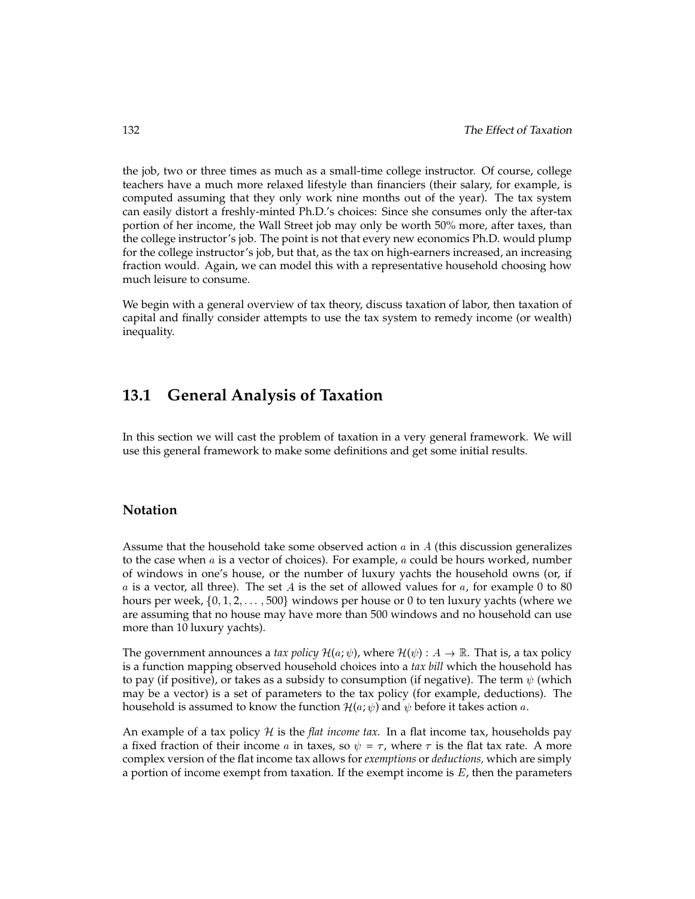the job, two or three times as much as a small-time college instructor. Of course, college teachers have a much more relaxed lifestyle than financiers (their salary, for example, is computed assuming that they only work nine months out of the year). The tax system can easily distort a freshly-minted Ph.D.'s choices: Since she consumes only the after-tax portion of her income, the Wall Street job may only be worth 50% more, after taxes, than the college instructor's job. The point is not that every new economics Ph.D. would plump for the college instructor's job, but that, as the tax on high-earners increased, an increasing fraction would. Again, we can model this with a representative household choosing how much leisure to consume.

We begin with a general overview of tax theory, discuss taxation of labor, then taxation of capital and finally consider attempts to use the tax system to remedy income (or wealth) inequality.

## **13.1 General Analysis of Taxation**

In this section we will cast the problem of taxation in a very general framework. We will use this general framework to make some definitions and get some initial results.

#### **Notation**

Assume that the household take some observed action  $a$  in  $A$  (this discussion generalizes to the case when  $a$  is a vector of choices). For example,  $a$  could be hours worked, number of windows in one's house, or the number of luxury yachts the household owns (or, if a is a vector, all three). The set A is the set of allowed values for  $a$ , for example 0 to 80 hours per week,  $\{0, 1, 2, \ldots, 500\}$  windows per house or 0 to ten luxury yachts (where we are assuming that no house may have more than 500 windows and no household can use more than 10 luxury yachts).

The government announces a *tax policy*  $\mathcal{H}(a; \psi)$ , where  $\mathcal{H}(\psi) : A \to \mathbb{R}$ . That is, a tax policy is a function mapping observed household choices into a *tax bill* which the household has to pay (if positive), or takes as a subsidy to consumption (if negative). The term  $\psi$  (which may be a vector) is a set of parameters to the tax policy (for example, deductions). The household is assumed to know the function  $\mathcal{H}(a; \psi)$  and  $\psi$  before it takes action a.

An example of a tax policy  $H$  is the *flat income tax*. In a flat income tax, households pay a fixed fraction of their income a in taxes, so  $\psi = \tau$ , where  $\tau$  is the flat tax rate. A more complex version of the flat income tax allows for *exemptions* or *deductions,* which are simply a portion of income exempt from taxation. If the exempt income is  $E$ , then the parameters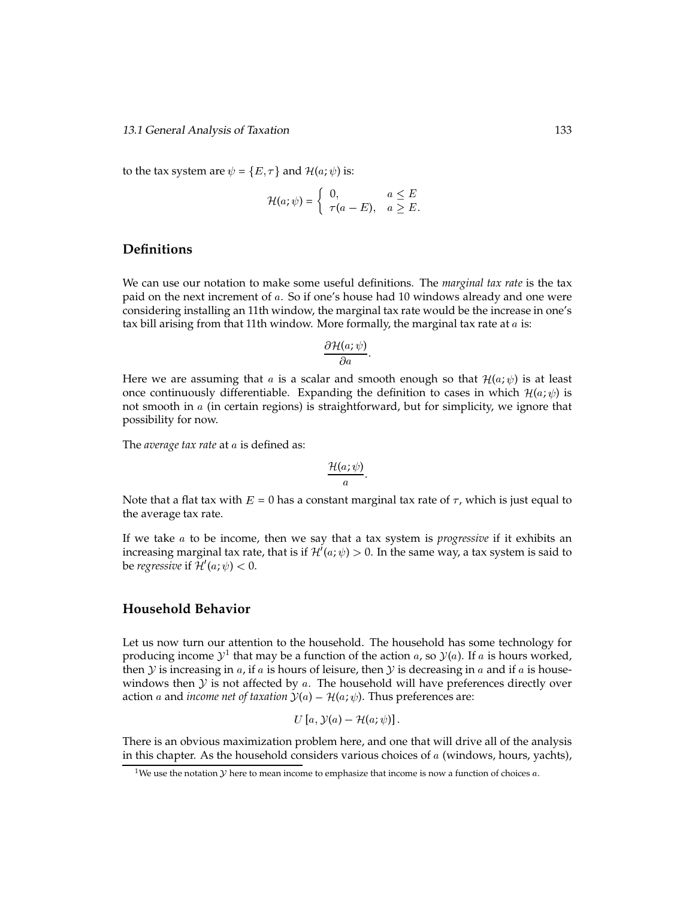to the tax system are  $\psi = \{E, \tau\}$  and  $\mathcal{H}(a; \psi)$  is:

$$
\mathcal{H}(a;\psi)=\left\{\begin{array}{ll}0,&a\leq E\\\tau(a-E),&a\geq E.\end{array}\right.
$$

#### **Definitions**

We can use our notation to make some useful definitions. The *marginal tax rate* is the tax paid on the next increment of a. So if one's house had 10 windows already and one were considering installing an 11th window, the marginal tax rate would be the increase in one's tax bill arising from that 11th window. More formally, the marginal tax rate at  $a$  is:

$$
\frac{\partial {\cal H}(a;\psi)}{\partial a}.
$$

Here we are assuming that a is a scalar and smooth enough so that  $\mathcal{H}(a; \psi)$  is at least once continuously differentiable. Expanding the definition to cases in which  $\mathcal{H}(a; \psi)$  is not smooth in  $a$  (in certain regions) is straightforward, but for simplicity, we ignore that possibility for now.

The *average tax rate* at a is defined as:

$$
\frac{\mathcal{H}(a;\psi)}{a}.
$$

Note that a flat tax with  $E = 0$  has a constant marginal tax rate of  $\tau$ , which is just equal to the average tax rate.

If we take a to be income, then we say that a tax system is *progressive* if it exhibits an increasing marginal tax rate, that is if  $\mathcal{H}'(a;\psi)>0.$  In the same way, a tax system is said to be *regressive* if  $\mathcal{H}^{\prime}(a;\psi) < 0.$ 

#### **Household Behavior**

Let us now turn our attention to the household. The household has some technology for producing income  $\mathcal{Y}^1$  that may be a function of the action a, so  $\mathcal{Y}(a)$ . If a is hours worked, then  $Y$  is increasing in  $a$ , if  $a$  is hours of leisure, then  $Y$  is decreasing in  $a$  and if  $a$  is housewindows then  $Y$  is not affected by a. The household will have preferences directly over action *a* and *income net of taxation*  $\mathcal{Y}(a) - \mathcal{H}(a; \psi)$ . Thus preferences are:

$$
U\left[a,\mathcal{Y}(a)-\mathcal{H}(a;\psi)\right].
$$

There is an obvious maximization problem here, and one that will drive all of the analysis in this chapter. As the household considers various choices of  $a$  (windows, hours, yachts),

<sup>&</sup>lt;sup>1</sup>We use the notation  $\mathcal Y$  here to mean income to emphasize that income is now a function of choices a.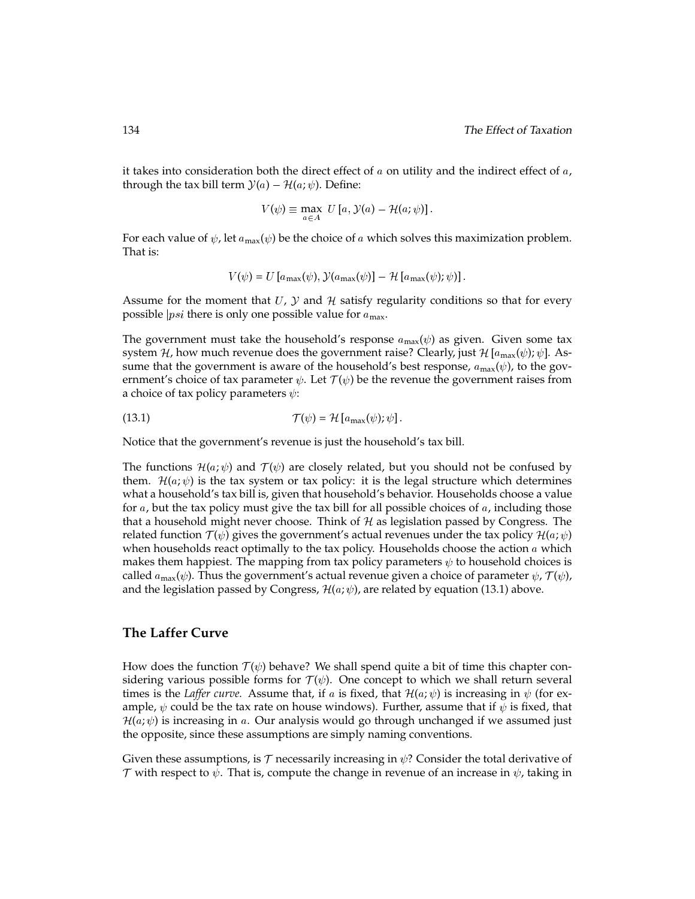it takes into consideration both the direct effect of  $a$  on utility and the indirect effect of  $a$ , through the tax bill term  $\mathcal{Y}(a) - \mathcal{H}(a; \psi)$ . Define:

$$
V(\psi) \equiv \max_{a \in A} U[a, \mathcal{Y}(a) - \mathcal{H}(a; \psi)].
$$

For each value of  $\psi$ , let  $a_{\text{max}}(\psi)$  be the choice of a which solves this maximization problem. That is:

$$
V(\psi) = U[a_{\max}(\psi), \mathcal{Y}(a_{\max}(\psi)) - \mathcal{H}[a_{\max}(\psi); \psi)].
$$

Assume for the moment that U,  $\mathcal Y$  and  $\mathcal H$  satisfy regularity conditions so that for every possible  $psi$  there is only one possible value for  $a_{\text{max}}$ .

The government must take the household's response  $a_{\text{max}}(\psi)$  as given. Given some tax system H, how much revenue does the government raise? Clearly, just H  $[a_{\text{max}}(\psi); \psi]$ . Assume that the government is aware of the household's best response,  $a_{\text{max}}(\psi)$ , to the government's choice of tax parameter  $\psi$ . Let  $\mathcal{T}(\psi)$  be the revenue the government raises from a choice of tax policy parameters  $\psi$ :

(13.1) 
$$
\mathcal{T}(\psi) = \mathcal{H}\left[a_{\max}(\psi); \psi\right].
$$

Notice that the government's revenue is just the household's tax bill.

The functions  $\mathcal{H}(a; \psi)$  and  $\mathcal{T}(\psi)$  are closely related, but you should not be confused by them.  $\mathcal{H}(a; \psi)$  is the tax system or tax policy: it is the legal structure which determines what a household's tax bill is, given that household's behavior. Households choose a value for  $a$ , but the tax policy must give the tax bill for all possible choices of  $a$ , including those that a household might never choose. Think of  $H$  as legislation passed by Congress. The related function  $\mathcal{T}(\psi)$  gives the government's actual revenues under the tax policy  $\mathcal{H}(a; \psi)$ when households react optimally to the tax policy. Households choose the action  $a$  which makes them happiest. The mapping from tax policy parameters  $\psi$  to household choices is called  $a_{\max}(\psi)$ . Thus the government's actual revenue given a choice of parameter  $\psi$ ,  $\mathcal{T}(\psi)$ , and the legislation passed by Congress,  $\mathcal{H}(a; \psi)$ , are related by equation (13.1) above.

#### **The Laffer Curve**

How does the function  $\mathcal{T}(\psi)$  behave? We shall spend quite a bit of time this chapter considering various possible forms for  $T(\psi)$ . One concept to which we shall return several times is the *Laffer curve.* Assume that, if a is fixed, that  $\mathcal{H}(a; \psi)$  is increasing in  $\psi$  (for example,  $\psi$  could be the tax rate on house windows). Further, assume that if  $\psi$  is fixed, that  $\mathcal{H}(a; \psi)$  is increasing in a. Our analysis would go through unchanged if we assumed just the opposite, since these assumptions are simply naming conventions.

Given these assumptions, is  $\mathcal T$  necessarily increasing in  $\psi$ ? Consider the total derivative of  $\mathcal T$  with respect to  $\psi$ . That is, compute the change in revenue of an increase in  $\psi$ , taking in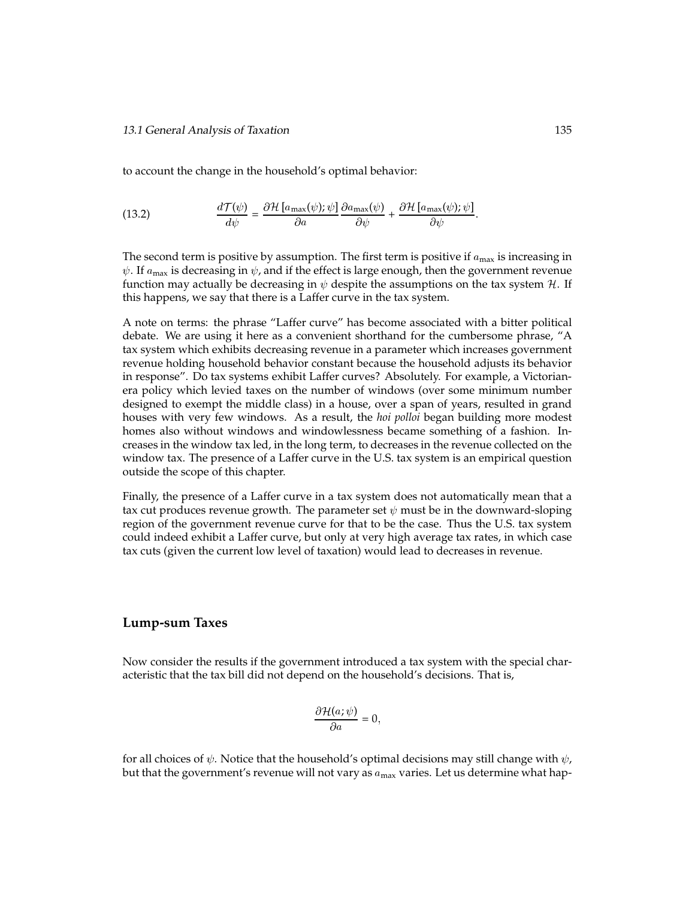to account the change in the household's optimal behavior:

(13.2) 
$$
\frac{d\mathcal{T}(\psi)}{d\psi} = \frac{\partial \mathcal{H}\left[a_{\max}(\psi); \psi\right]}{\partial a} \frac{\partial a_{\max}(\psi)}{\partial \psi} + \frac{\partial \mathcal{H}\left[a_{\max}(\psi); \psi\right]}{\partial \psi}.
$$

The second term is positive by assumption. The first term is positive if  $a_{\text{max}}$  is increasing in  $\psi$ . If  $a_{\text{max}}$  is decreasing in  $\psi$ , and if the effect is large enough, then the government revenue function may actually be decreasing in  $\psi$  despite the assumptions on the tax system H. If this happens, we say that there is a Laffer curve in the tax system.

A note on terms: the phrase "Laffer curve" has become associated with a bitter political debate. We are using it here as a convenient shorthand for the cumbersome phrase, "A tax system which exhibits decreasing revenue in a parameter which increases government revenue holding household behavior constant because the household adjusts its behavior in response". Do tax systems exhibit Laffer curves? Absolutely. For example, a Victorianera policy which levied taxes on the number of windows (over some minimum number designed to exempt the middle class) in a house, over a span of years, resulted in grand houses with very few windows. As a result, the *hoi polloi* began building more modest homes also without windows and windowlessness became something of a fashion. Increases in the window tax led, in the long term, to decreases in the revenue collected on the window tax. The presence of a Laffer curve in the U.S. tax system is an empirical question outside the scope of this chapter.

Finally, the presence of a Laffer curve in a tax system does not automatically mean that a tax cut produces revenue growth. The parameter set  $\psi$  must be in the downward-sloping region of the government revenue curve for that to be the case. Thus the U.S. tax system could indeed exhibit a Laffer curve, but only at very high average tax rates, in which case tax cuts (given the current low level of taxation) would lead to decreases in revenue.

#### **Lump-sum Taxes**

Now consider the results if the government introduced a tax system with the special characteristic that the tax bill did not depend on the household's decisions. That is,

$$
\frac{\partial \mathcal{H}(a;\psi)}{\partial a}=0,
$$

for all choices of  $\psi$ . Notice that the household's optimal decisions may still change with  $\psi$ , but that the government's revenue will not vary as  $a_{\text{max}}$  varies. Let us determine what hap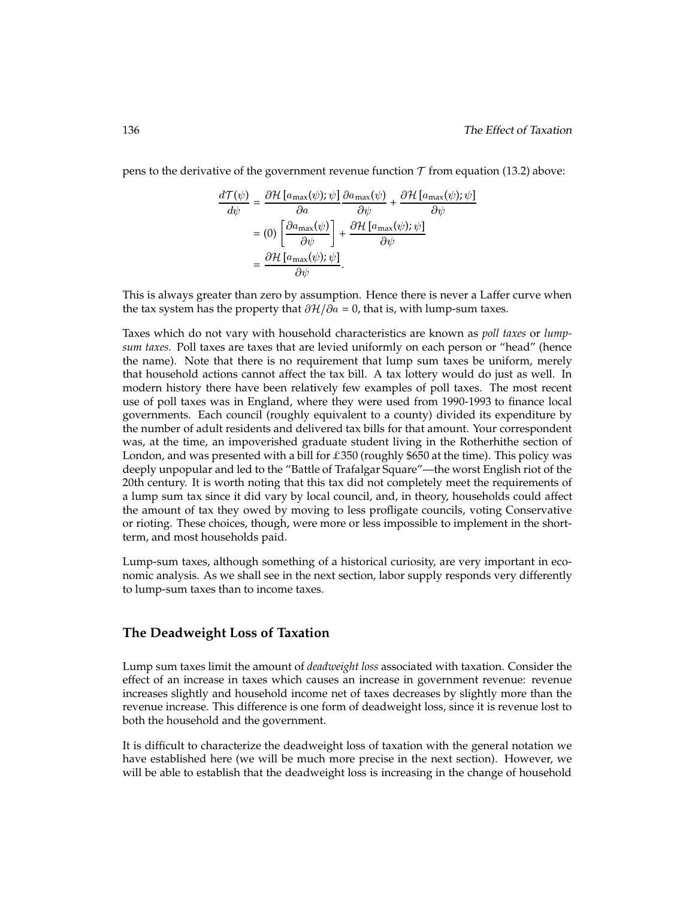pens to the derivative of the government revenue function  $\mathcal T$  from equation (13.2) above:

$$
\frac{d\mathcal{T}(\psi)}{d\psi} = \frac{\partial \mathcal{H} \left[ a_{\text{max}}(\psi); \psi \right] \partial a_{\text{max}}(\psi)}{\partial a} + \frac{\partial \mathcal{H} \left[ a_{\text{max}}(\psi); \psi \right]}{\partial \psi}
$$

$$
= (0) \left[ \frac{\partial a_{\text{max}}(\psi)}{\partial \psi} \right] + \frac{\partial \mathcal{H} \left[ a_{\text{max}}(\psi); \psi \right]}{\partial \psi}
$$

$$
= \frac{\partial \mathcal{H} \left[ a_{\text{max}}(\psi); \psi \right]}{\partial \psi}.
$$

This is always greater than zero by assumption. Hence there is never a Laffer curve when the tax system has the property that  $\partial \mathcal{H}/\partial a = 0$ , that is, with lump-sum taxes.

Taxes which do not vary with household characteristics are known as *poll taxes* or *lumpsum taxes.* Poll taxes are taxes that are levied uniformly on each person or "head" (hence the name). Note that there is no requirement that lump sum taxes be uniform, merely that household actions cannot affect the tax bill. A tax lottery would do just as well. In modern history there have been relatively few examples of poll taxes. The most recent use of poll taxes was in England, where they were used from 1990-1993 to finance local governments. Each council (roughly equivalent to a county) divided its expenditure by the number of adult residents and delivered tax bills for that amount. Your correspondent was, at the time, an impoverished graduate student living in the Rotherhithe section of London, and was presented with a bill for £350 (roughly \$650 at the time). This policy was deeply unpopular and led to the "Battle of Trafalgar Square"—the worst English riot of the 20th century. It is worth noting that this tax did not completely meet the requirements of a lump sum tax since it did vary by local council, and, in theory, households could affect the amount of tax they owed by moving to less profligate councils, voting Conservative or rioting. These choices, though, were more or less impossible to implement in the shortterm, and most households paid.

Lump-sum taxes, although something of a historical curiosity, are very important in economic analysis. As we shall see in the next section, labor supply responds very differently to lump-sum taxes than to income taxes.

#### **The Deadweight Loss of Taxation**

Lump sum taxes limit the amount of *deadweight loss* associated with taxation. Consider the effect of an increase in taxes which causes an increase in government revenue: revenue increases slightly and household income net of taxes decreases by slightly more than the revenue increase. This difference is one form of deadweight loss, since it is revenue lost to both the household and the government.

It is difficult to characterize the deadweight loss of taxation with the general notation we have established here (we will be much more precise in the next section). However, we will be able to establish that the deadweight loss is increasing in the change of household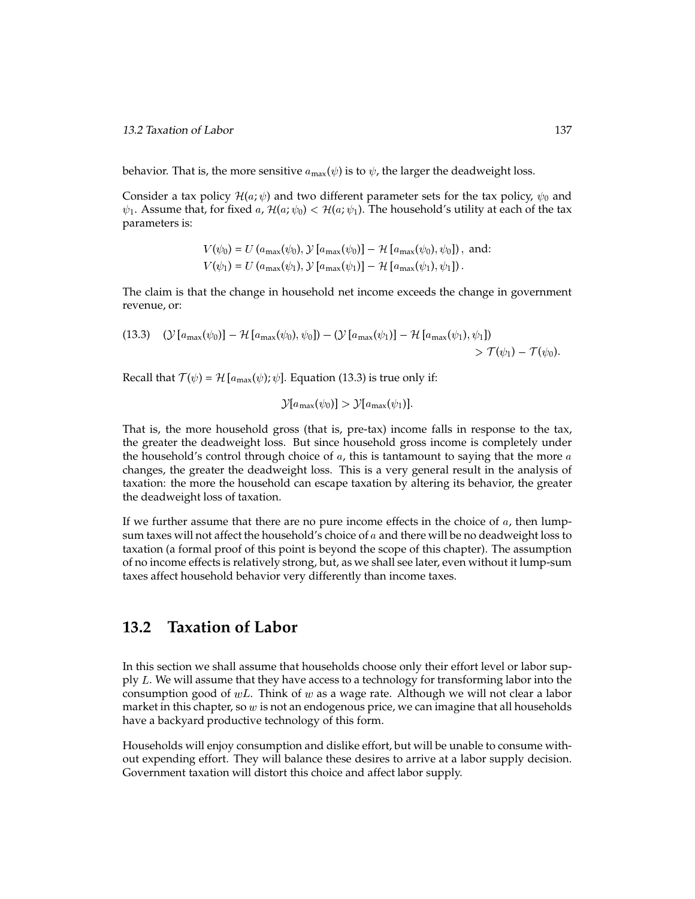behavior. That is, the more sensitive  $a_{\text{max}}(\psi)$  is to  $\psi$ , the larger the deadweight loss.

Consider a tax policy  $\mathcal{H}(a; \psi)$  and two different parameter sets for the tax policy,  $\psi_0$  and  $\psi_1$ . Assume that, for fixed a,  $\mathcal{H}(a; \psi_0) < \mathcal{H}(a; \psi_1)$ . The household's utility at each of the tax parameters is:

$$
V(\psi_0) = U(a_{\text{max}}(\psi_0), \mathcal{Y}[a_{\text{max}}(\psi_0)] - \mathcal{H}[a_{\text{max}}(\psi_0), \psi_0]), \text{ and:}
$$
  

$$
V(\psi_1) = U(a_{\text{max}}(\psi_1), \mathcal{Y}[a_{\text{max}}(\psi_1)] - \mathcal{H}[a_{\text{max}}(\psi_1), \psi_1]).
$$

The claim is that the change in household net income exceeds the change in government revenue, or:

(13.3) 
$$
(\mathcal{Y}[a_{\max}(\psi_0)] - \mathcal{H}[a_{\max}(\psi_0), \psi_0]) - (\mathcal{Y}[a_{\max}(\psi_1)] - \mathcal{H}[a_{\max}(\psi_1), \psi_1]) > \mathcal{T}(\psi_1) - \mathcal{T}(\psi_0).
$$

Recall that  $\mathcal{T}(\psi) = \mathcal{H}$  [ $a_{\text{max}}(\psi)$ ;  $\psi$ ]. Equation (13.3) is true only if:

$$
\mathcal{Y}[a_{\max}(\psi_0)] > \mathcal{Y}[a_{\max}(\psi_1)]
$$

That is, the more household gross (that is, pre-tax) income falls in response to the tax, the greater the deadweight loss. But since household gross income is completely under the household's control through choice of  $a$ , this is tantamount to saying that the more  $a$ changes, the greater the deadweight loss. This is a very general result in the analysis of taxation: the more the household can escape taxation by altering its behavior, the greater the deadweight loss of taxation.

If we further assume that there are no pure income effects in the choice of  $a$ , then lumpsum taxes will not affect the household's choice of  $a$  and there will be no deadweight loss to taxation (a formal proof of this point is beyond the scope of this chapter). The assumption of no income effects is relatively strong, but, as we shall see later, even without it lump-sum taxes affect household behavior very differently than income taxes.

### **13.2 Taxation of Labor**

In this section we shall assume that households choose only their effort level or labor supply L. We will assume that they have access to a technology for transforming labor into the consumption good of  $wL$ . Think of  $w$  as a wage rate. Although we will not clear a labor market in this chapter, so  $w$  is not an endogenous price, we can imagine that all households have a backyard productive technology of this form.

Households will enjoy consumption and dislike effort, but will be unable to consume without expending effort. They will balance these desires to arrive at a labor supply decision. Government taxation will distort this choice and affect labor supply.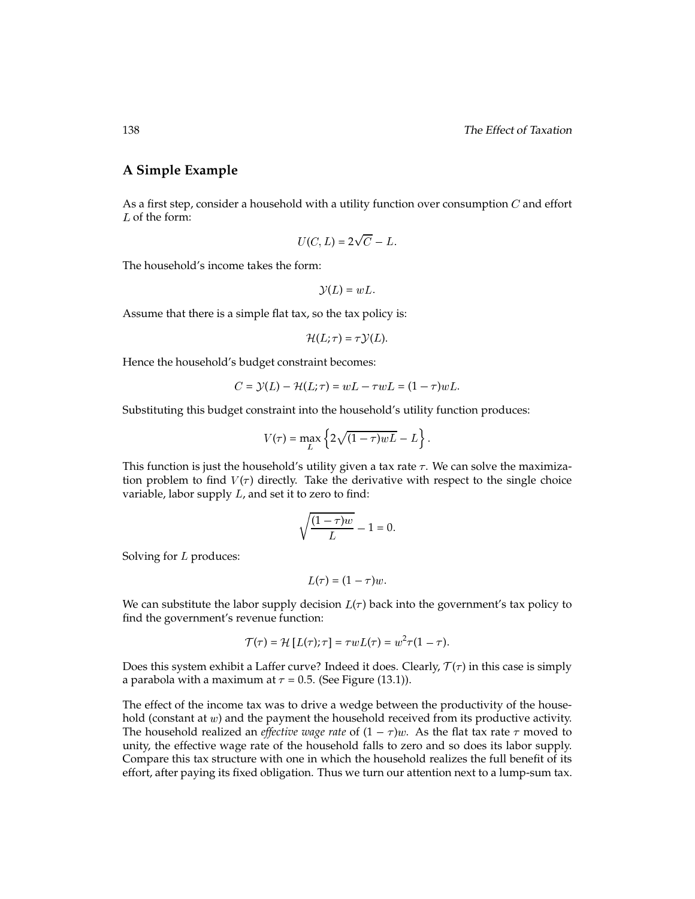#### **A Simple Example**

As a first step, consider a household with a utility function over consumption  $C$  and effort L of the form:

$$
U(C, L) = 2\sqrt{C} - L.
$$

The household's income takes the form:

$$
\mathcal{Y}(L) = wL.
$$

Assume that there is a simple flat tax, so the tax policy is:

$$
\mathcal{H}(L;\tau)=\tau\mathcal{Y}(L).
$$

Hence the household's budget constraint becomes:

$$
C = \mathcal{Y}(L) - \mathcal{H}(L; \tau) = wL - \tau wL = (1 - \tau)wL.
$$

Substituting this budget constraint into the household's utility function produces:

$$
V(\tau) = \max_{L} \left\{ 2\sqrt{(1-\tau)wL} - L \right\}.
$$

This function is just the household's utility given a tax rate  $\tau$ . We can solve the maximization problem to find  $V(\tau)$  directly. Take the derivative with respect to the single choice variable, labor supply  $L$ , and set it to zero to find:

$$
\sqrt{\frac{(1-\tau)w}{L}}-1=0.
$$

Solving for L produces:

$$
L(\tau)=(1-\tau)w.
$$

We can substitute the labor supply decision  $L(\tau)$  back into the government's tax policy to find the government's revenue function:

$$
\mathcal{T}(\tau) = \mathcal{H}\left[L(\tau); \tau\right] = \tau w L(\tau) = w^2 \tau (1 - \tau).
$$

Does this system exhibit a Laffer curve? Indeed it does. Clearly,  $\mathcal{T}(\tau)$  in this case is simply a parabola with a maximum at  $\tau = 0.5$ . (See Figure (13.1)).

The effect of the income tax was to drive a wedge between the productivity of the household (constant at  $w$ ) and the payment the household received from its productive activity. The household realized an *effective wage rate* of  $(1 - \tau)w$ . As the flat tax rate  $\tau$  moved to unity, the effective wage rate of the household falls to zero and so does its labor supply. Compare this tax structure with one in which the household realizes the full benefit of its effort, after paying its fixed obligation. Thus we turn our attention next to a lump-sum tax.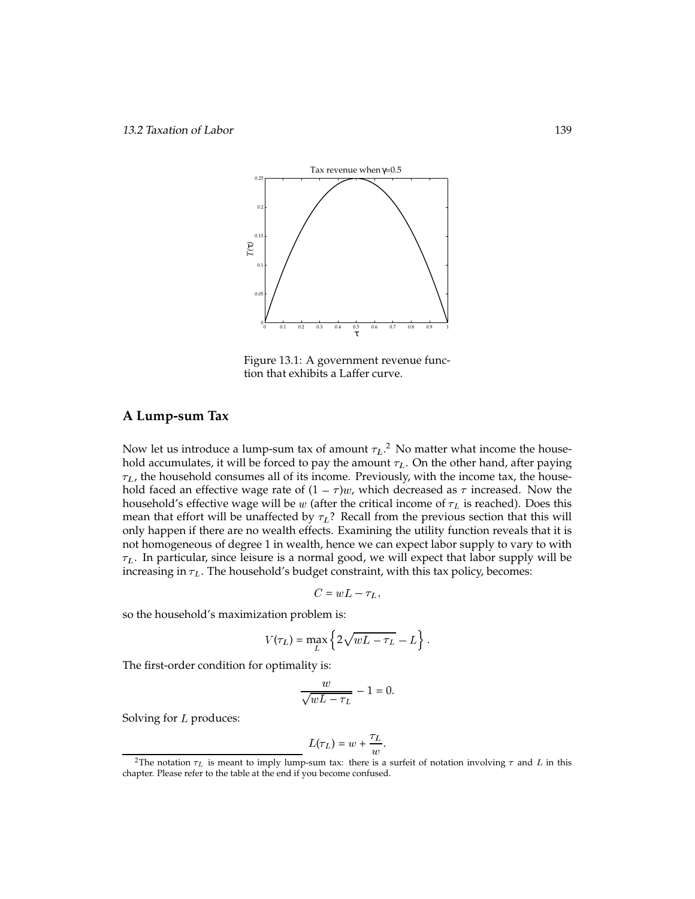

Figure 13.1: A government revenue function that exhibits a Laffer curve.

#### **A Lump-sum Tax**

Now let us introduce a lump-sum tax of amount  $\tau_L$ .<sup>2</sup> No matter what income the household accumulates, it will be forced to pay the amount  $\tau_L$ . On the other hand, after paying  $\tau_L$ , the household consumes all of its income. Previously, with the income tax, the household faced an effective wage rate of  $(1 - \tau)w$ , which decreased as  $\tau$  increased. Now the household's effective wage will be w (after the critical income of  $\tau_L$  is reached). Does this mean that effort will be unaffected by  $\tau_L$ ? Recall from the previous section that this will only happen if there are no wealth effects. Examining the utility function reveals that it is not homogeneous of degree 1 in wealth, hence we can expect labor supply to vary to with  $\tau_L$ . In particular, since leisure is a normal good, we will expect that labor supply will be increasing in  $\tau_L$ . The household's budget constraint, with this tax policy, becomes:

$$
C=wL-\tau_L,
$$

so the household's maximization problem is:

$$
V(\tau_L) = \max_L \left\{ 2\sqrt{wL - \tau_L} - L \right\}.
$$

The first-order condition for optimality is:

$$
\frac{w}{\sqrt{wL-\tau_L}}-1=0.
$$

Solving for L produces:

$$
L(\tau_L) = w + \frac{\tau_L}{w}.
$$

<sup>&</sup>lt;sup>2</sup>The notation  $\tau_L$  is meant to imply lump-sum tax: there is a surfeit of notation involving  $\tau$  and L in this chapter. Please refer to the table at the end if you become confused.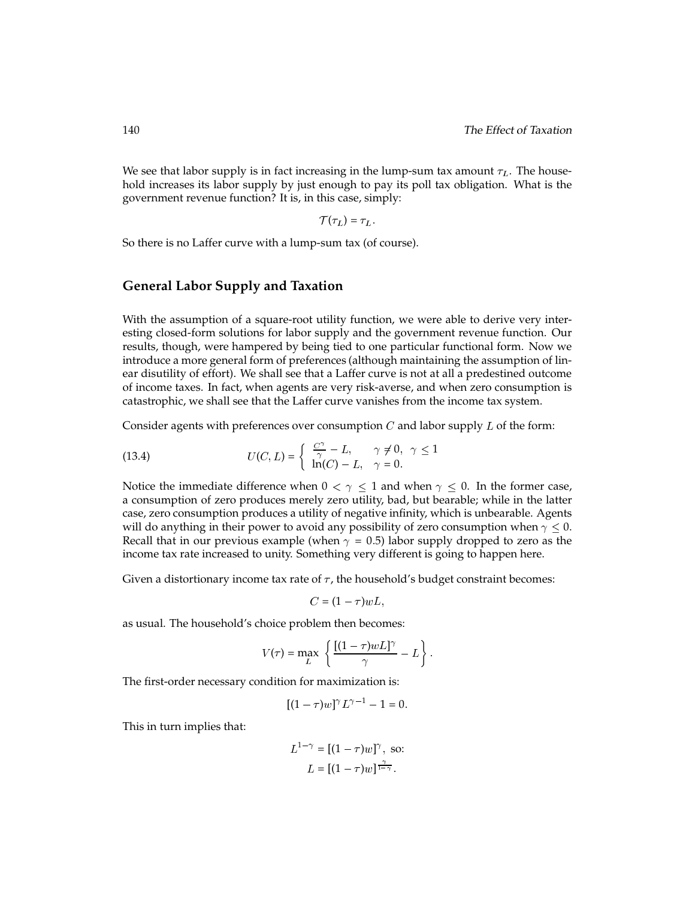We see that labor supply is in fact increasing in the lump-sum tax amount  $\tau_L$ . The household increases its labor supply by just enough to pay its poll tax obligation. What is the government revenue function? It is, in this case, simply:

$$
\mathcal{T}(\tau_L)=\tau_L
$$

So there is no Laffer curve with a lump-sum tax (of course).

#### **General Labor Supply and Taxation**

With the assumption of a square-root utility function, we were able to derive very interesting closed-form solutions for labor supply and the government revenue function. Our results, though, were hampered by being tied to one particular functional form. Now we introduce a more general form of preferences (although maintaining the assumption of linear disutility of effort). We shall see that a Laffer curve is not at all a predestined outcome of income taxes. In fact, when agents are very risk-averse, and when zero consumption is catastrophic, we shall see that the Laffer curve vanishes from the income tax system.

Consider agents with preferences over consumption  $C$  and labor supply  $L$  of the form:

(13.4) 
$$
U(C, L) = \begin{cases} \frac{C}{\gamma} - L, & \gamma \neq 0, \gamma \leq 1 \\ \ln(C) - L, & \gamma = 0. \end{cases}
$$

Notice the immediate difference when  $0 < \gamma \leq 1$  and when  $\gamma \leq 0$ . In the former case, a consumption of zero produces merely zero utility, bad, but bearable; while in the latter case, zero consumption produces a utility of negative infinity, which is unbearable. Agents will do anything in their power to avoid any possibility of zero consumption when  $\gamma$  < 0. Recall that in our previous example (when  $\gamma = 0.5$ ) labor supply dropped to zero as the income tax rate increased to unity. Something very different is going to happen here.

Given a distortionary income tax rate of  $\tau$ , the household's budget constraint becomes:

$$
C=(1-\tau)wL,
$$

as usual. The household's choice problem then becomes:

$$
V(\tau) = \max_{L} \left\{ \frac{[(1-\tau)wL]^{\gamma}}{\gamma} - L \right\}.
$$

The first-order necessary condition for maximization is:

$$
[(1-\tau)w]^{\gamma}L^{\gamma-1}-1=0.
$$

This in turn implies that:

$$
L^{1-\gamma} = [(1-\tau)w]^{\gamma}, \text{ so:}
$$

$$
L = [(1-\tau)w]^{\frac{\gamma}{1-\gamma}}.
$$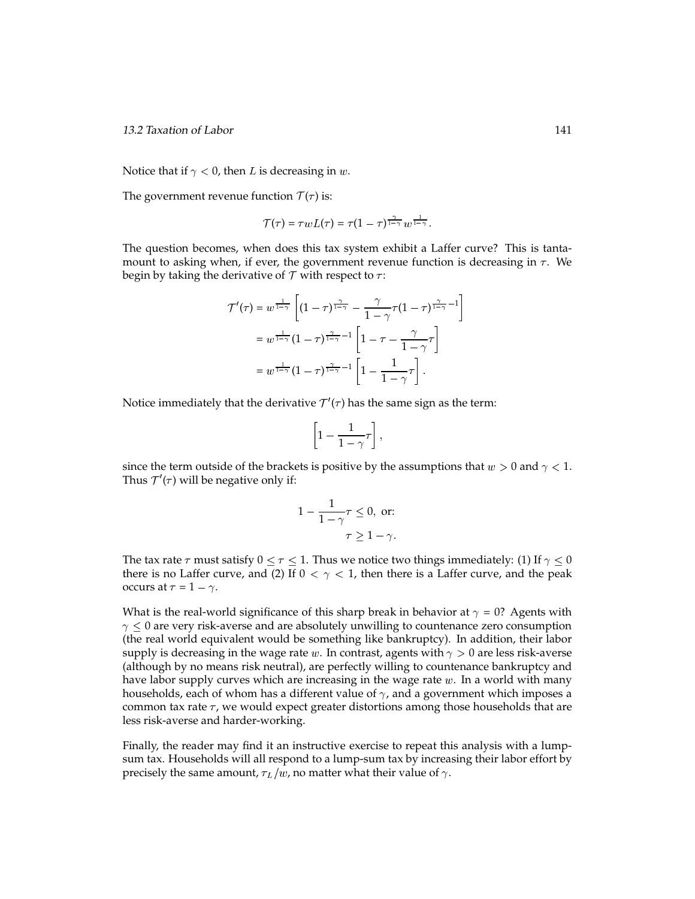Notice that if  $\gamma < 0$ , then L is decreasing in w.

The government revenue function  $\mathcal{T}(\tau)$  is:

$$
\mathcal{T}(\tau)=\tau w L(\tau)=\tau(1-\tau)^{\frac{\gamma}{1-\gamma}}w^{\frac{1}{1-\gamma}}.
$$

The question becomes, when does this tax system exhibit a Laffer curve? This is tantamount to asking when, if ever, the government revenue function is decreasing in  $\tau$ . We begin by taking the derivative of  $T$  with respect to  $\tau$ :

$$
\mathcal{T}'(\tau) = w^{\frac{1}{1-\gamma}} \left[ (1-\tau)^{\frac{\gamma}{1-\gamma}} - \frac{\gamma}{1-\gamma} \tau (1-\tau)^{\frac{\gamma}{1-\gamma}-1} \right]
$$

$$
= w^{\frac{1}{1-\gamma}} (1-\tau)^{\frac{\gamma}{1-\gamma}-1} \left[ 1-\tau - \frac{\gamma}{1-\gamma} \tau \right]
$$

$$
= w^{\frac{1}{1-\gamma}} (1-\tau)^{\frac{\gamma}{1-\gamma}-1} \left[ 1 - \frac{1}{1-\gamma} \tau \right].
$$

Notice immediately that the derivative  $\mathcal{T}'(\tau)$  has the same sign as the term:

$$
\left[1-\frac{1}{1-\gamma}\tau\right],
$$

since the term outside of the brackets is positive by the assumptions that  $w > 0$  and  $\gamma < 1$ . Thus  $\mathcal{T}'(\tau)$  will be negative only if:

$$
1 - \frac{1}{1 - \gamma}\tau \le 0, \text{ or:}
$$

$$
\tau \ge 1 - \gamma.
$$

The tax rate  $\tau$  must satisfy  $0 \leq \tau \leq 1$ . Thus we notice two things immediately: (1) If  $\gamma \leq 0$ there is no Laffer curve, and (2) If  $0 < \gamma < 1$ , then there is a Laffer curve, and the peak occurs at  $\tau = 1 - \gamma$ .

What is the real-world significance of this sharp break in behavior at  $\gamma = 0$ ? Agents with  $\gamma$   $\leq$  0 are very risk-averse and are absolutely unwilling to countenance zero consumption (the real world equivalent would be something like bankruptcy). In addition, their labor supply is decreasing in the wage rate w. In contrast, agents with  $\gamma > 0$  are less risk-averse (although by no means risk neutral), are perfectly willing to countenance bankruptcy and have labor supply curves which are increasing in the wage rate  $w$ . In a world with many households, each of whom has a different value of  $\gamma$ , and a government which imposes a common tax rate  $\tau$ , we would expect greater distortions among those households that are less risk-averse and harder-working.

Finally, the reader may find it an instructive exercise to repeat this analysis with a lumpsum tax. Households will all respond to a lump-sum tax by increasing their labor effort by precisely the same amount,  $\tau_L/w$ , no matter what their value of  $\gamma$ .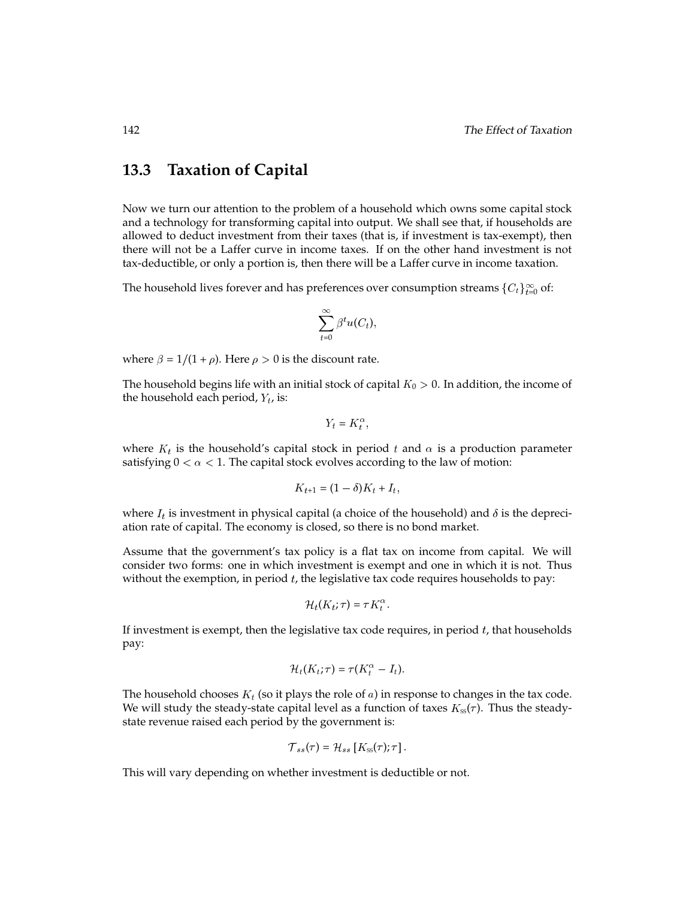## **13.3 Taxation of Capital**

Now we turn our attention to the problem of a household which owns some capital stock and a technology for transforming capital into output. We shall see that, if households are allowed to deduct investment from their taxes (that is, if investment is tax-exempt), then there will not be a Laffer curve in income taxes. If on the other hand investment is not tax-deductible, or only a portion is, then there will be a Laffer curve in income taxation.

The household lives forever and has preferences over consumption streams  $\{C_t\}_{t=0}^\infty$  of:

$$
\sum_{t=0}^{\infty} \beta^t u(C_t),
$$

where  $\beta = 1/(1 + \rho)$ . Here  $\rho > 0$  is the discount rate.

The household begins life with an initial stock of capital  $K_0 > 0$ . In addition, the income of the household each period,  $Y_t$ , is:

$$
Y_t = K_t^{\alpha},
$$

where  $K_t$  is the household's capital stock in period t and  $\alpha$  is a production parameter satisfying  $0 < \alpha < 1$ . The capital stock evolves according to the law of motion:

$$
K_{t+1} = (1 - \delta)K_t + I_t,
$$

where  $I_t$  is investment in physical capital (a choice of the household) and  $\delta$  is the depreciation rate of capital. The economy is closed, so there is no bond market.

Assume that the government's tax policy is a flat tax on income from capital. We will consider two forms: one in which investment is exempt and one in which it is not. Thus without the exemption, in period  $t$ , the legislative tax code requires households to pay:

$$
\mathcal{H}_t(K_t;\tau)=\tau K_t^{\alpha}.
$$

If investment is exempt, then the legislative tax code requires, in period  $t$ , that households pay:

$$
\mathcal{H}_t(K_t; \tau) = \tau(K_t^{\alpha} - I_t).
$$

The household chooses  $K_t$  (so it plays the role of a) in response to changes in the tax code. We will study the steady-state capital level as a function of taxes  $K_{\rm ss}(\tau)$ . Thus the steadystate revenue raised each period by the government is:

$$
{\cal T}_{ss}(\tau)={\cal H}_{ss}\left[K_{\rm SS}(\tau);\tau\right]
$$

This will vary depending on whether investment is deductible or not.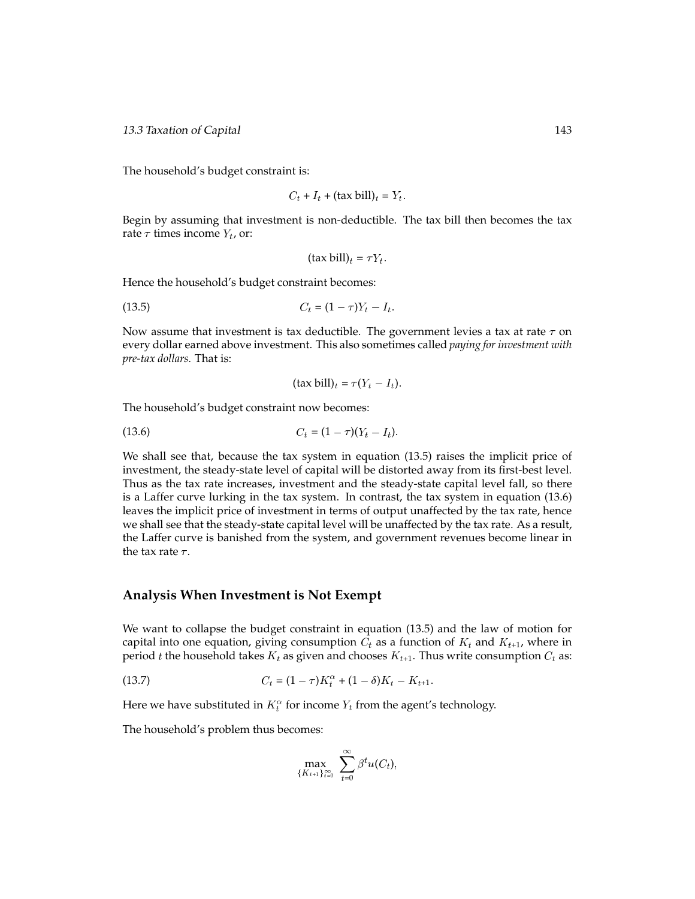The household's budget constraint is:

$$
C_t + I_t + (\text{tax bill})_t = Y_t.
$$

Begin by assuming that investment is non-deductible. The tax bill then becomes the tax rate  $\tau$  times income  $Y_t$ , or:

$$
(\text{tax bill})_t = \tau Y_t
$$

Hence the household's budget constraint becomes:

(13.5) 
$$
C_t = (1 - \tau)Y_t - I_t.
$$

Now assume that investment is tax deductible. The government levies a tax at rate  $\tau$  on every dollar earned above investment. This also sometimes called *paying for investment with pre-tax dollars.* That is:

$$
(\text{tax bill})_t = \tau(Y_t - I_t).
$$

The household's budget constraint now becomes:

$$
(13.6) \tCt = (1 - \tau)(Yt - It).
$$

We shall see that, because the tax system in equation (13.5) raises the implicit price of investment, the steady-state level of capital will be distorted away from its first-best level. Thus as the tax rate increases, investment and the steady-state capital level fall, so there is a Laffer curve lurking in the tax system. In contrast, the tax system in equation (13.6) leaves the implicit price of investment in terms of output unaffected by the tax rate, hence we shall see that the steady-state capital level will be unaffected by the tax rate. As a result, the Laffer curve is banished from the system, and government revenues become linear in the tax rate  $\tau$ .

#### **Analysis When Investment is Not Exempt**

We want to collapse the budget constraint in equation (13.5) and the law of motion for capital into one equation, giving consumption  $C_t$  as a function of  $K_t$  and  $K_{t+1}$ , where in period t the household takes  $K_t$  as given and chooses  $K_{t+1}$ . Thus write consumption  $C_t$  as:

(13.7) 
$$
C_t = (1 - \tau)K_t^{\alpha} + (1 - \delta)K_t - K_{t+1}.
$$

Here we have substituted in  $K_t^\alpha$  for income  $Y_t$  from the agent's technology.

The household's problem thus becomes:

$$
\max_{\{K_{t+1}\}_{t=0}^\infty}\ \sum_{t=0}^\infty\beta^t u(C_t),
$$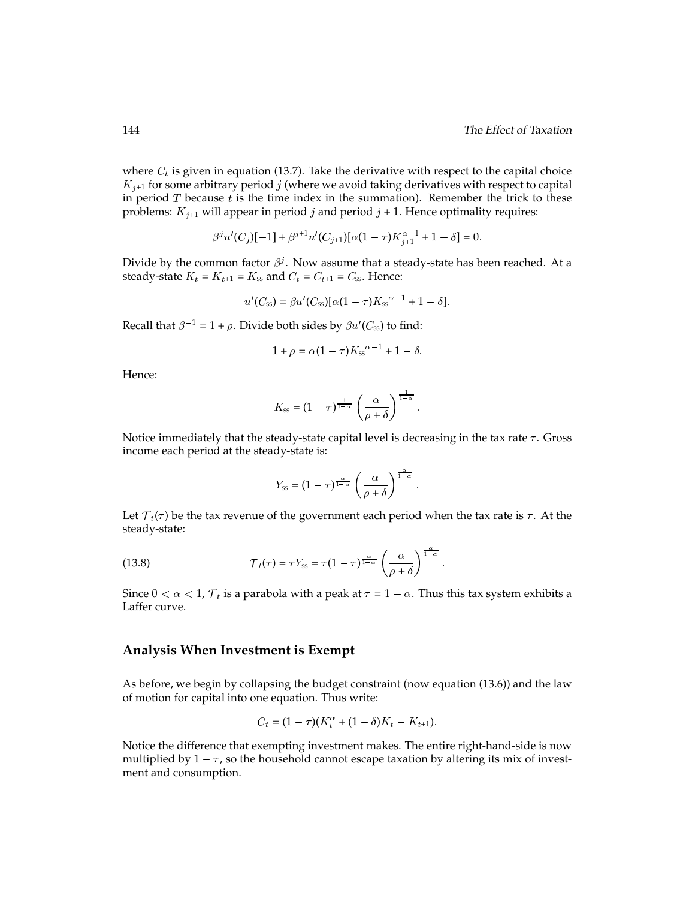where  $C_t$  is given in equation (13.7). Take the derivative with respect to the capital choice  $K_{i+1}$  for some arbitrary period j (where we avoid taking derivatives with respect to capital in period  $T$  because  $t$  is the time index in the summation). Remember the trick to these problems:  $K_{j+1}$  will appear in period j and period  $j + 1$ . Hence optimality requires:

$$
\beta^{j}u'(C_{j})[-1] + \beta^{j+1}u'(C_{j+1})[\alpha(1-\tau)K_{j+1}^{\alpha-1} + 1 - \delta] = 0.
$$

Divide by the common factor  $\beta$ <sup>3</sup>. Now assume that a steady-state has been reached. At a steady-state  $K_t = K_{t+1} = K_{ss}$  and  $C_t = C_{t+1} = C_{ss}$ . Hence:

$$
u'(C_{\rm ss}) = \beta u'(C_{\rm ss})[\alpha(1-\tau)K_{\rm ss}^{\alpha-1}+1-\delta].
$$

Recall that  $\beta^{-1} = 1 + \rho$ . Divide both sides by  $\beta u'(C_{ss})$  to find:

$$
1+\rho=\alpha(1-\tau)K_{\rm ss}^{\alpha-1}+1-\delta.
$$

Hence:

$$
K_{\rm{ss}} = (1 - \tau)^{\frac{1}{1 - \alpha}} \left( \frac{\alpha}{\rho + \delta} \right)^{\frac{1}{1 - \alpha}}.
$$

Notice immediately that the steady-state capital level is decreasing in the tax rate  $\tau$ . Gross income each period at the steady-state is:

$$
Y_{\rm ss} = (1 - \tau)^{\frac{\alpha}{1 - \alpha}} \left( \frac{\alpha}{\rho + \delta} \right)^{\frac{\alpha}{1 - \alpha}}.
$$

Let  $\mathcal{T}_t(\tau)$  be the tax revenue of the government each period when the tax rate is  $\tau$ . At the steady-state:

(13.8) 
$$
\mathcal{T}_t(\tau) = \tau Y_{ss} = \tau (1 - \tau)^{\frac{\alpha}{1 - \alpha}} \left( \frac{\alpha}{\rho + \delta} \right)^{\frac{\alpha}{1 - \alpha}}.
$$

Since  $0 < \alpha < 1$ ,  $\mathcal{T}_t$  is a parabola with a peak at  $\tau = 1 - \alpha$ . Thus this tax system exhibits a Laffer curve.

#### **Analysis When Investment is Exempt**

As before, we begin by collapsing the budget constraint (now equation (13.6)) and the law of motion for capital into one equation. Thus write:

$$
C_t = (1 - \tau)(K_t^{\alpha} + (1 - \delta)K_t - K_{t+1}).
$$

Notice the difference that exempting investment makes. The entire right-hand-side is now multiplied by  $1 - \tau$ , so the household cannot escape taxation by altering its mix of investment and consumption.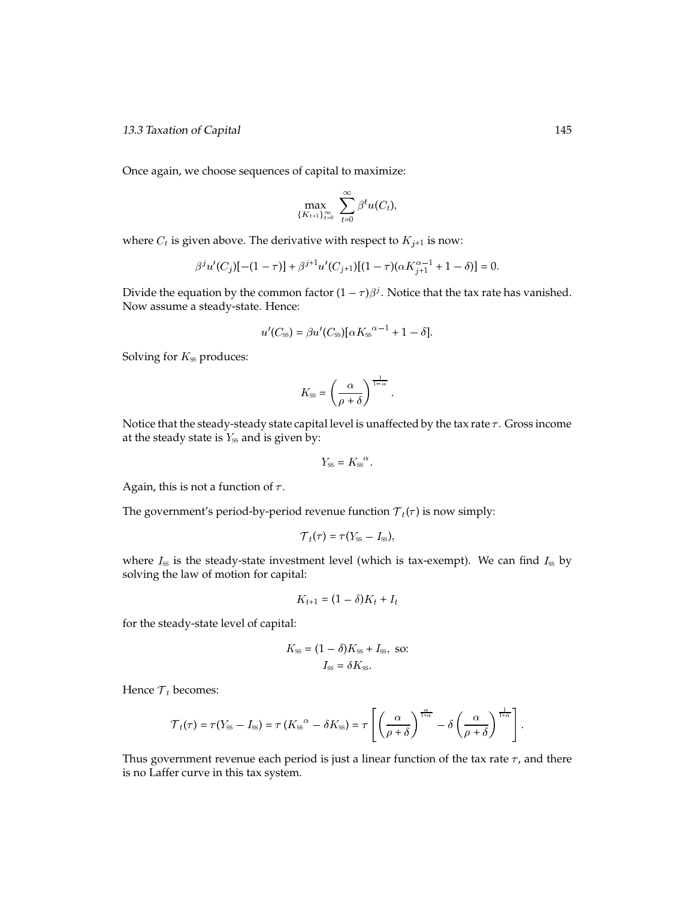Once again, we choose sequences of capital to maximize:

$$
\max_{\{K_{t+1}\}_{t=0}^\infty} \ \sum_{t=0}^\infty \beta^t u(C_t),
$$

where  $C_t$  is given above. The derivative with respect to  $K_{j+1}$  is now:

$$
\beta^{j} u'(C_{j})[-(1-\tau)] + \beta^{j+1} u'(C_{j+1})[(1-\tau)(\alpha K_{j+1}^{\alpha-1} + 1 - \delta)] = 0.
$$

Divide the equation by the common factor  $(1-\tau)\beta^j$ . Notice that the tax rate has vanished. Now assume a steady-state. Hence:

$$
u'(C_{\rm ss}) = \beta u'(C_{\rm ss}) [\alpha K_{\rm ss}^{\alpha-1} + 1 - \delta].
$$

Solving for  $K_{ss}$  produces:

$$
K_{\rm ss} = \left(\frac{\alpha}{\rho + \delta}\right)^{\frac{1}{1-\alpha}}.
$$

Notice that the steady-steady state capital level is unaffected by the tax rate  $\tau$ . Gross income at the steady state is  $Y_{ss}$  and is given by:

$$
Y_{\rm ss} = K_{\rm ss}^{\alpha}.
$$

Again, this is not a function of  $\tau$ .

The government's period-by-period revenue function  $\mathcal{T}_t(\tau)$  is now simply:

$$
\mathcal{T}_t(\tau)=\tau(Y_{\rm ss}-I_{\rm ss}),
$$

where  $I_{ss}$  is the steady-state investment level (which is tax-exempt). We can find  $I_{ss}$  by solving the law of motion for capital:

$$
K_{t+1} = (1 - \delta)K_t + I_t
$$

for the steady-state level of capital:

$$
K_{\rm ss} = (1 - \delta)K_{\rm ss} + I_{\rm ss}, \text{ so:}
$$
  

$$
I_{\rm ss} = \delta K_{\rm ss}.
$$

Hence  $\mathcal{T}_t$  becomes:

$$
\mathcal{T}_t(\tau) = \tau(Y_{ss} - I_{ss}) = \tau (K_{ss}^{\alpha} - \delta K_{ss}) = \tau \left[ \left( \frac{\alpha}{\rho + \delta} \right)^{\frac{\alpha}{1 + \alpha}} - \delta \left( \frac{\alpha}{\rho + \delta} \right)^{\frac{1}{1 + \alpha}} \right].
$$

Thus government revenue each period is just a linear function of the tax rate  $\tau$ , and there is no Laffer curve in this tax system.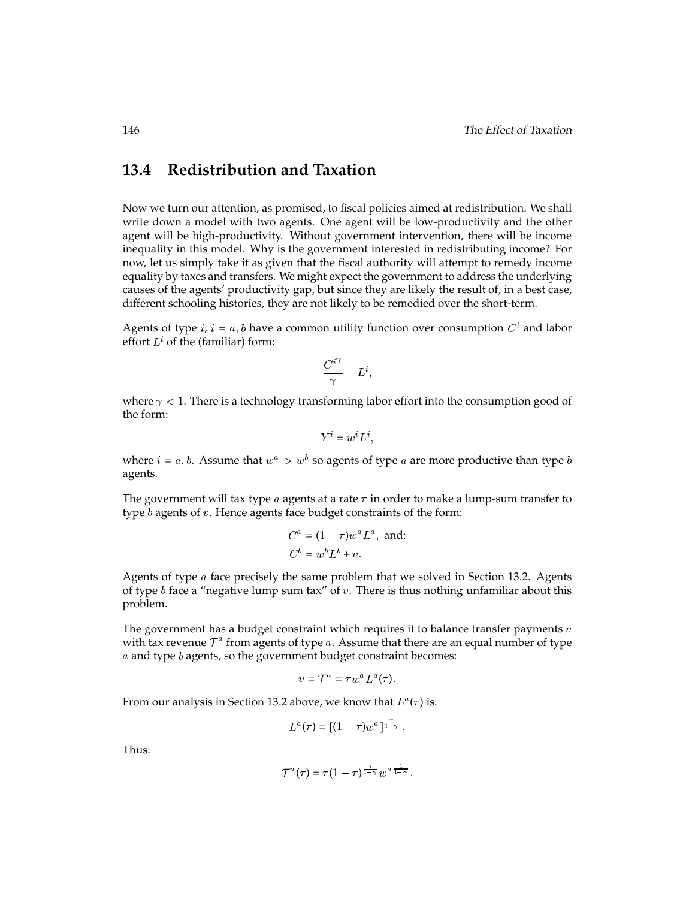## **13.4 Redistribution and Taxation**

Now we turn our attention, as promised, to fiscal policies aimed at redistribution. We shall write down a model with two agents. One agent will be low-productivity and the other agent will be high-productivity. Without government intervention, there will be income inequality in this model. Why is the government interested in redistributing income? For now, let us simply take it as given that the fiscal authority will attempt to remedy income equality by taxes and transfers. We might expect the government to address the underlying causes of the agents' productivity gap, but since they are likely the result of, in a best case, different schooling histories, they are not likely to be remedied over the short-term.

Agents of type  $i, i = a, b$  have a common utility function over consumption  $C^i$  and labor effort  $L^i$  of the (familiar) form:

$$
\frac{C^{i}}{\gamma} - L^{i},
$$

where  $\gamma$  < 1. There is a technology transforming labor effort into the consumption good of the form:

$$
Y^i = w^i L^i,
$$

where  $i = a, b$ . Assume that  $w^a > w^b$  so agents of type  $a$  are more productive than type  $b$ agents.

The government will tax type a agents at a rate  $\tau$  in order to make a lump-sum transfer to type  $b$  agents of  $v$ . Hence agents face budget constraints of the form:

$$
Ca = (1 - \tau)wa La, and:
$$
  

$$
Cb = wb Lb + v.
$$

Agents of type a face precisely the same problem that we solved in Section 13.2. Agents of type  $b$  face a "negative lump sum tax" of  $v$ . There is thus nothing unfamiliar about this problem.

The government has a budget constraint which requires it to balance transfer payments  $v$ with tax revenue  $\mathcal{T}^a$  from agents of type  $a.$  Assume that there are an equal number of type a and type b agents, so the government budget constraint becomes:

$$
v=\mathcal{T}^a=\tau w^a L^a(\tau).
$$

From our analysis in Section 13.2 above, we know that  $L^a(\tau)$  is:

$$
L^{a}(\tau) = [(1 - \tau)w^{a}]^{\frac{1}{1 - \gamma}}.
$$

Thus:

$$
\mathcal{T}^{a}(\tau)=\tau(1-\tau)^{\frac{\gamma}{1-\gamma}}w^{a\,\frac{1}{1-\gamma}}.
$$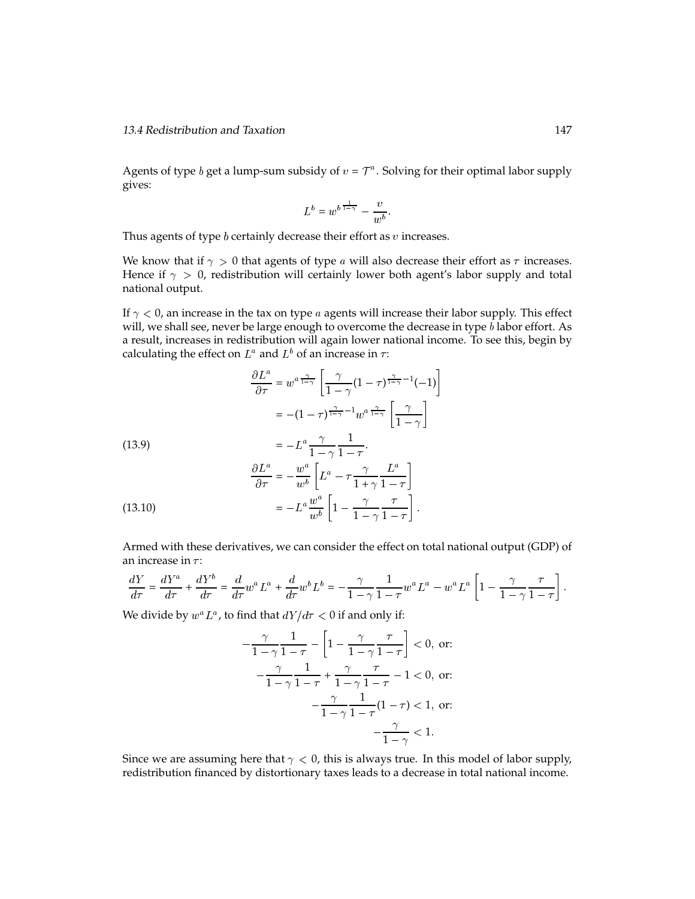#### 13.4 Redistribution and Taxation 147

Agents of type  $b$  get a lump-sum subsidy of  $v = \mathcal{T}^a$ . Solving for their optimal labor supply gives:

$$
L^b=w^{b\,\frac{1}{1-\gamma}}-\frac{v}{w^b}.
$$

Thus agents of type  $b$  certainly decrease their effort as  $v$  increases.

We know that if  $\gamma > 0$  that agents of type *a* will also decrease their effort as  $\tau$  increases. Hence if  $\gamma > 0$ , redistribution will certainly lower both agent's labor supply and total national output.

If  $\gamma$  < 0, an increase in the tax on type a agents will increase their labor supply. This effect will, we shall see, never be large enough to overcome the decrease in type <sup>b</sup> labor effort. As a result, increases in redistribution will again lower national income. To see this, begin by calculating the effect on  $L^a$  and  $L^b$  of an increase in  $\tau\colon$ 

(13.9)  
\n
$$
\frac{\partial L^a}{\partial \tau} = w^{a \frac{\gamma}{1-\gamma}} \left[ \frac{\gamma}{1-\gamma} (1-\tau)^{\frac{\gamma}{1-\gamma}-1} (-1) \right]
$$
\n
$$
= -(1-\tau)^{\frac{\gamma}{1-\gamma}-1} w^{a \frac{\gamma}{1-\gamma}} \left[ \frac{\gamma}{1-\gamma} \right]
$$
\n
$$
= -L^a \frac{\gamma}{1-\gamma} \frac{1}{1-\tau}.
$$
\n
$$
\frac{\partial L^a}{\partial \tau} = -\frac{w^a}{w^b} \left[ L^a - \tau \frac{\gamma}{1+\gamma} \frac{L^a}{1-\tau} \right]
$$
\n
$$
= -L^a \frac{w^a}{w^b} \left[ 1 - \frac{\gamma}{1-\gamma} \frac{\tau}{1-\tau} \right].
$$

Armed with these derivatives, we can consider the effect on total national output (GDP) of an increase in  $\tau$ :

$$
\frac{dY}{d\tau}=\frac{dY^a}{d\tau}+\frac{dY^b}{d\tau}=\frac{d}{d\tau}w^aL^a+\frac{d}{d\tau}w^bL^b=-\frac{\gamma}{1-\gamma}\frac{1}{1-\tau}w^aL^a-w^aL^a\left[1-\frac{\gamma}{1-\gamma}\frac{\tau}{1-\tau}\right].
$$

We divide by  $w^a\,L^a$ , to find that  $dY/d\tau < 0$  if and only if:

$$
-\frac{\gamma}{1-\gamma}\frac{1}{1-\tau} - \left[1 - \frac{\gamma}{1-\gamma}\frac{\tau}{1-\tau}\right] < 0, \text{ or:}
$$
\n
$$
-\frac{\gamma}{1-\gamma}\frac{1}{1-\tau} + \frac{\gamma}{1-\gamma}\frac{\tau}{1-\tau} - 1 < 0, \text{ or:}
$$
\n
$$
-\frac{\gamma}{1-\gamma}\frac{1}{1-\tau}(1-\tau) < 1, \text{ or:}
$$
\n
$$
-\frac{\gamma}{1-\gamma} < 1.
$$

Since we are assuming here that  $\gamma < 0$ , this is always true. In this model of labor supply, redistribution financed by distortionary taxes leads to a decrease in total national income.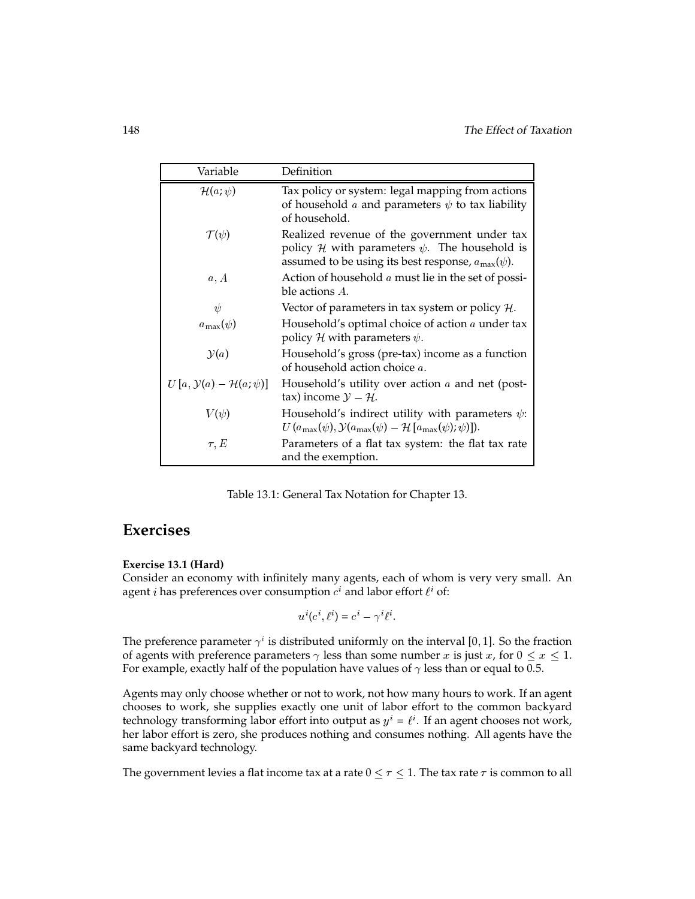| Variable                                      | Definition                                                                                                                                                                   |
|-----------------------------------------------|------------------------------------------------------------------------------------------------------------------------------------------------------------------------------|
| $\mathcal{H}(a;\psi)$                         | Tax policy or system: legal mapping from actions<br>of household a and parameters $\psi$ to tax liability<br>of household.                                                   |
| $\mathcal{T}(\psi)$                           | Realized revenue of the government under tax<br>policy <i>H</i> with parameters $\psi$ . The household is<br>assumed to be using its best response, $a_{\text{max}}(\psi)$ . |
| a, A                                          | Action of household a must lie in the set of possi-<br>ble actions A.                                                                                                        |
| $\psi$                                        | Vector of parameters in tax system or policy $H$ .                                                                                                                           |
| $a_{\max}(\psi)$                              | Household's optimal choice of action $a$ under tax<br>policy <i>H</i> with parameters $\psi$ .                                                                               |
| $\mathcal{Y}(a)$                              | Household's gross (pre-tax) income as a function<br>of household action choice a.                                                                                            |
| $U[a, \mathcal{Y}(a) - \mathcal{H}(a; \psi)]$ | Household's utility over action $a$ and net (post-<br>tax) income $\mathcal{Y} - \mathcal{H}$ .                                                                              |
| $V(\psi)$                                     | Household's indirect utility with parameters $\psi$ :                                                                                                                        |
|                                               | U $(a_{\max}(\psi), \mathcal{Y}(a_{\max}(\psi) - \mathcal{H}[a_{\max}(\psi); \psi)]).$                                                                                       |
| $\tau,E$                                      | Parameters of a flat tax system: the flat tax rate<br>and the exemption.                                                                                                     |

Table 13.1: General Tax Notation for Chapter 13.

## **Exercises**

#### **Exercise 13.1 (Hard)**

Consider an economy with infinitely many agents, each of whom is very very small. An agent  $i$  has preferences over consumption  $c^i$  and labor effort  $\ell^i$  of:

$$
u^i(c^i,\ell^i)=c^i-\gamma^i\ell^i.
$$

The preference parameter  $\gamma^i$  is distributed uniformly on the interval [0, 1]. So the fraction of agents with preference parameters  $\gamma$  less than some number x is just x, for  $0 \le x \le 1$ . For example, exactly half of the population have values of  $\gamma$  less than or equal to 0.5.

Agents may only choose whether or not to work, not how many hours to work. If an agent chooses to work, she supplies exactly one unit of labor effort to the common backyard technology transforming labor effort into output as  $y^i = \ell^i$ . If an agent chooses not work, her labor effort is zero, she produces nothing and consumes nothing. All agents have the same backyard technology.

The government levies a flat income tax at a rate  $0 \leq \tau \leq 1$ . The tax rate  $\tau$  is common to all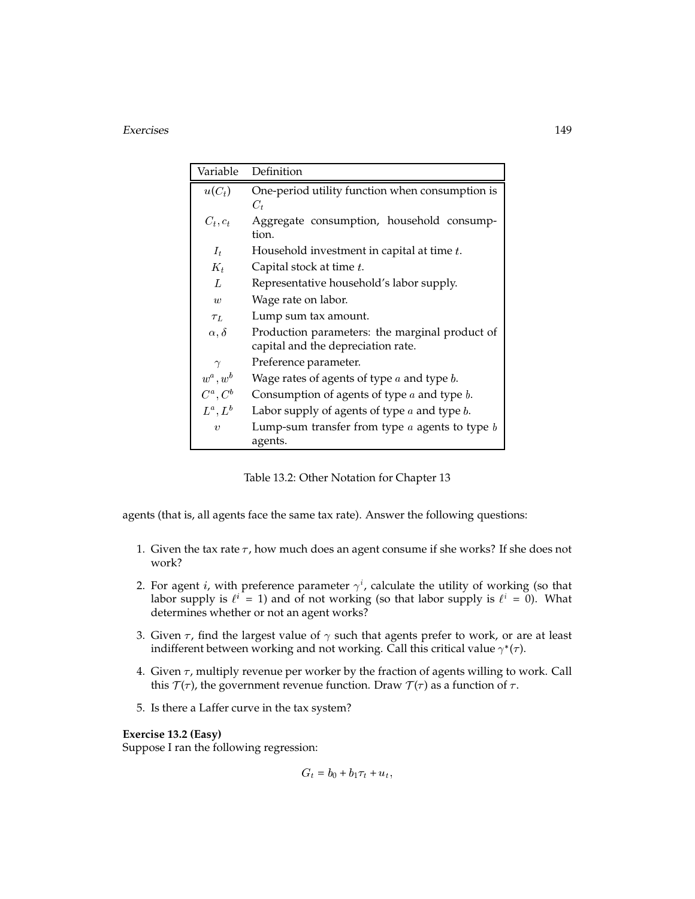#### Exercises 149

| Variable         | Definition                                                                           |
|------------------|--------------------------------------------------------------------------------------|
| $u(C_t)$         | One-period utility function when consumption is<br>$C_t$                             |
| $C_t$ , $c_t$    | Aggregate consumption, household consump-<br>tion.                                   |
| $I_t$            | Household investment in capital at time $t$ .                                        |
| $K_t$            | Capital stock at time t.                                                             |
| L                | Representative household's labor supply.                                             |
| w                | Wage rate on labor.                                                                  |
| $\tau_L$         | Lump sum tax amount.                                                                 |
| $\alpha, \delta$ | Production parameters: the marginal product of<br>capital and the depreciation rate. |
| $\gamma$         | Preference parameter.                                                                |
| $w^a, w^b$       | Wage rates of agents of type $a$ and type $b$ .                                      |
| $C^a, C^b$       | Consumption of agents of type $a$ and type $b$ .                                     |
| $L^a, L^b$       | Labor supply of agents of type $a$ and type $b$ .                                    |
| $\boldsymbol{v}$ | Lump-sum transfer from type $a$ agents to type $b$<br>agents.                        |

Table 13.2: Other Notation for Chapter 13

agents (that is, all agents face the same tax rate). Answer the following questions:

- 1. Given the tax rate  $\tau$ , how much does an agent consume if she works? If she does not work?
- 2. For agent i, with preference parameter  $\gamma^i$ , calculate the utility of working (so that labor supply is  $\ell^i = 1$ ) and of not working (so that labor supply is  $\ell^i = 0$ ). What determines whether or not an agent works?
- 3. Given  $\tau$ , find the largest value of  $\gamma$  such that agents prefer to work, or are at least indifferent between working and not working. Call this critical value  $\gamma^*(\tau).$
- 4. Given  $\tau$ , multiply revenue per worker by the fraction of agents willing to work. Call this  $T(\tau)$ , the government revenue function. Draw  $T(\tau)$  as a function of  $\tau$ .
- 5. Is there a Laffer curve in the tax system?

#### **Exercise 13.2 (Easy)**

Suppose I ran the following regression:

$$
G_t = b_0 + b_1 \tau_t + u_t,
$$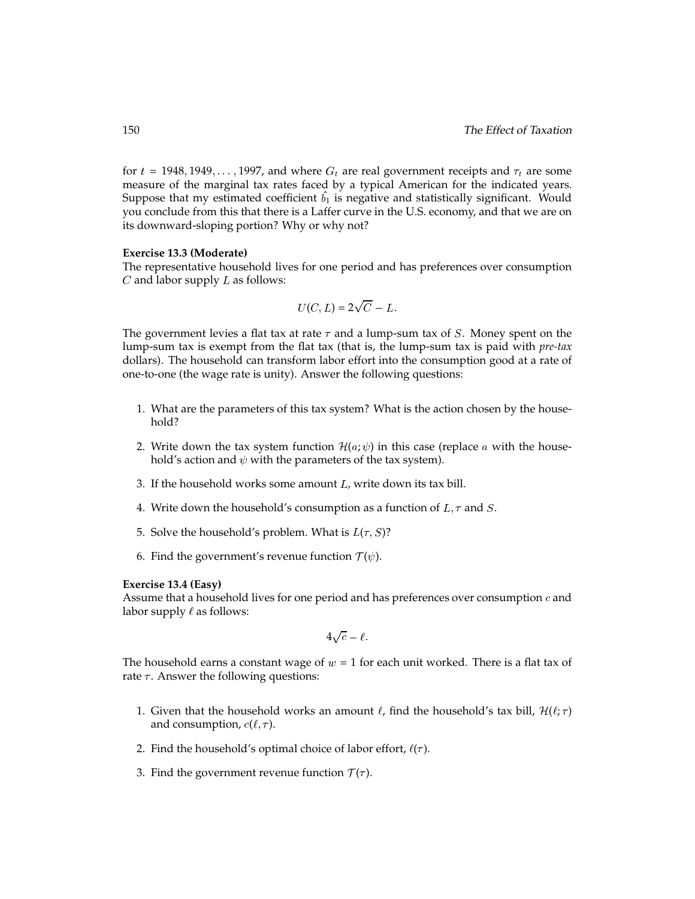for  $t = 1948, 1949, \ldots, 1997$ , and where  $G_t$  are real government receipts and  $\tau_t$  are some measure of the marginal tax rates faced by a typical American for the indicated years. Suppose that my estimated coefficient  $\hat{b_1}$  is negative and statistically significant. Would you conclude from this that there is a Laffer curve in the U.S. economy, and that we are on its downward-sloping portion? Why or why not?

#### **Exercise 13.3 (Moderate)**

The representative household lives for one period and has preferences over consumption  $C$  and labor supply  $L$  as follows:

$$
U(C, L) = 2\sqrt{C} - L.
$$

The government levies a flat tax at rate  $\tau$  and a lump-sum tax of S. Money spent on the lump-sum tax is exempt from the flat tax (that is, the lump-sum tax is paid with *pre-tax* dollars). The household can transform labor effort into the consumption good at a rate of one-to-one (the wage rate is unity). Answer the following questions:

- 1. What are the parameters of this tax system? What is the action chosen by the household?
- 2. Write down the tax system function  $\mathcal{H}(a; \psi)$  in this case (replace a with the household's action and  $\psi$  with the parameters of the tax system).
- 3. If the household works some amount  $L$ , write down its tax bill.
- 4. Write down the household's consumption as a function of  $L, \tau$  and  $S$ .
- 5. Solve the household's problem. What is  $L(\tau, S)$ ?
- 6. Find the government's revenue function  $T(\psi)$ .

#### **Exercise 13.4 (Easy)**

Assume that a household lives for one period and has preferences over consumption  $c$  and labor supply  $\ell$  as follows:

$$
4\sqrt{c}-\ell.
$$

The household earns a constant wage of  $w = 1$  for each unit worked. There is a flat tax of rate  $\tau$ . Answer the following questions:

- 1. Given that the household works an amount  $\ell$ , find the household's tax bill,  $\mathcal{H}(\ell; \tau)$ and consumption,  $c(\ell, \tau)$ .
- 2. Find the household's optimal choice of labor effort,  $\ell(\tau)$ .
- 3. Find the government revenue function  $T(\tau)$ .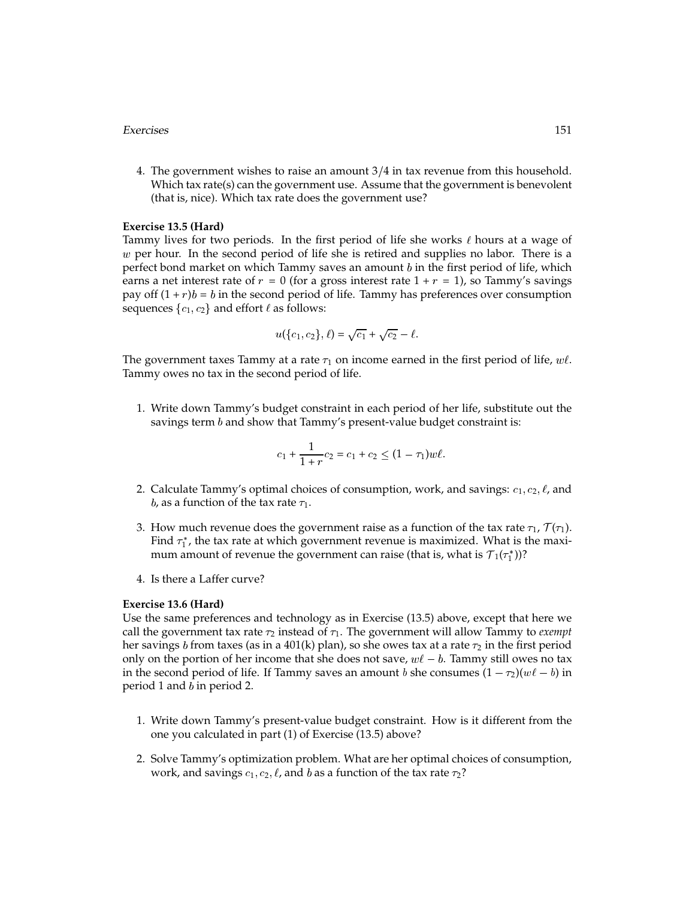#### Exercises 151

4. The government wishes to raise an amount  $3/4$  in tax revenue from this household. Which tax rate(s) can the government use. Assume that the government is benevolent (that is, nice). Which tax rate does the government use?

#### **Exercise 13.5 (Hard)**

Tammy lives for two periods. In the first period of life she works  $\ell$  hours at a wage of  $w$  per hour. In the second period of life she is retired and supplies no labor. There is a perfect bond market on which Tammy saves an amount  $b$  in the first period of life, which earns a net interest rate of  $r = 0$  (for a gross interest rate  $1 + r = 1$ ), so Tammy's savings pay off  $(1 + r)b = b$  in the second period of life. Tammy has preferences over consumption sequences  $\{c_1, c_2\}$  and effort  $\ell$  as follows:

$$
u(\{c_1, c_2\}, \ell) = \sqrt{c_1} + \sqrt{c_2} - \ell.
$$

The government taxes Tammy at a rate  $\tau_1$  on income earned in the first period of life,  $w\ell$ . Tammy owes no tax in the second period of life.

1. Write down Tammy's budget constraint in each period of her life, substitute out the savings term  $b$  and show that Tammy's present-value budget constraint is:

$$
c_1 + \frac{1}{1+r}c_2 = c_1 + c_2 \le (1 - \tau_1)w\ell.
$$

- 2. Calculate Tammy's optimal choices of consumption, work, and savings:  $c_1, c_2, \ell$ , and b, as a function of the tax rate  $\tau_1$ .
- 3. How much revenue does the government raise as a function of the tax rate  $\tau_1$ ,  $\mathcal{T}(\tau_1)$ . Find  $\tau_1^*$ , the tax rate at which government revenue is maximized. What is the maximum amount of revenue the government can raise (that is, what is  ${\cal T}_1(\tau_1^*))^?$
- 4. Is there a Laffer curve?

#### **Exercise 13.6 (Hard)**

Use the same preferences and technology as in Exercise (13.5) above, except that here we call the government tax rate  $\tau_2$  instead of  $\tau_1$ . The government will allow Tammy to *exempt* her savings b from taxes (as in a 401(k) plan), so she owes tax at a rate  $\tau_2$  in the first period only on the portion of her income that she does not save,  $w\ell - b$ . Tammy still owes no tax in the second period of life. If Tammy saves an amount b she consumes  $(1 - \tau_2)(w \ell - b)$  in period 1 and  $b$  in period 2.

- 1. Write down Tammy's present-value budget constraint. How is it different from the one you calculated in part (1) of Exercise (13.5) above?
- 2. Solve Tammy's optimization problem. What are her optimal choices of consumption, work, and savings  $c_1, c_2, \ell$ , and b as a function of the tax rate  $\tau_2$ ?